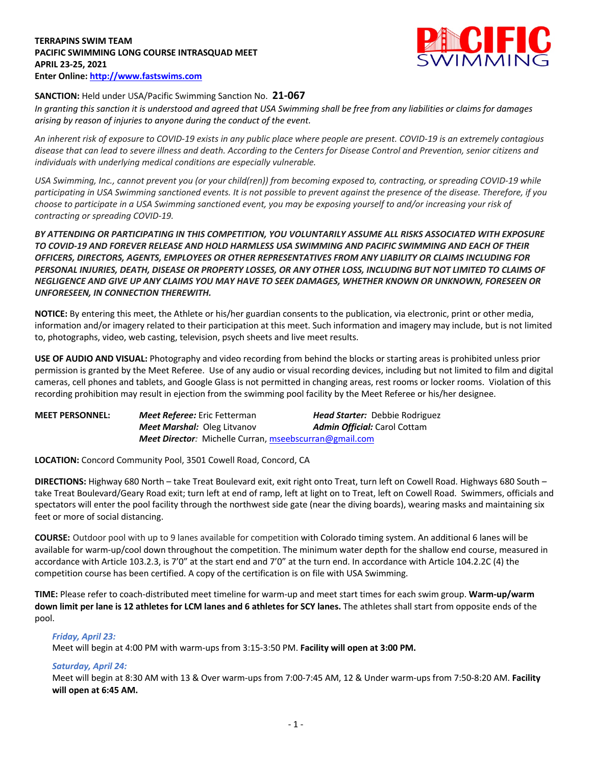## **TERRAPINS SWIM TEAM PACIFIC SWIMMING LONG COURSE INTRASQUAD MEET APRIL 23-25, 2021 Enter Online: http://www.fastswims.com**



# **SANCTION:** Held under USA/Pacific Swimming Sanction No. **21-067**

*In granting this sanction it is understood and agreed that USA Swimming shall be free from any liabilities or claims for damages arising by reason of injuries to anyone during the conduct of the event.* 

*An inherent risk of exposure to COVID-19 exists in any public place where people are present. COVID-19 is an extremely contagious disease that can lead to severe illness and death. According to the Centers for Disease Control and Prevention, senior citizens and individuals with underlying medical conditions are especially vulnerable.*

*USA Swimming, Inc., cannot prevent you (or your child(ren)) from becoming exposed to, contracting, or spreading COVID-19 while participating in USA Swimming sanctioned events. It is not possible to prevent against the presence of the disease. Therefore, if you choose to participate in a USA Swimming sanctioned event, you may be exposing yourself to and/or increasing your risk of contracting or spreading COVID-19.*

*BY ATTENDING OR PARTICIPATING IN THIS COMPETITION, YOU VOLUNTARILY ASSUME ALL RISKS ASSOCIATED WITH EXPOSURE TO COVID-19 AND FOREVER RELEASE AND HOLD HARMLESS USA SWIMMING AND PACIFIC SWIMMING AND EACH OF THEIR OFFICERS, DIRECTORS, AGENTS, EMPLOYEES OR OTHER REPRESENTATIVES FROM ANY LIABILITY OR CLAIMS INCLUDING FOR PERSONAL INJURIES, DEATH, DISEASE OR PROPERTY LOSSES, OR ANY OTHER LOSS, INCLUDING BUT NOT LIMITED TO CLAIMS OF NEGLIGENCE AND GIVE UP ANY CLAIMS YOU MAY HAVE TO SEEK DAMAGES, WHETHER KNOWN OR UNKNOWN, FORESEEN OR UNFORESEEN, IN CONNECTION THEREWITH.*

**NOTICE:** By entering this meet, the Athlete or his/her guardian consents to the publication, via electronic, print or other media, information and/or imagery related to their participation at this meet. Such information and imagery may include, but is not limited to, photographs, video, web casting, television, psych sheets and live meet results.

**USE OF AUDIO AND VISUAL:** Photography and video recording from behind the blocks or starting areas is prohibited unless prior permission is granted by the Meet Referee. Use of any audio or visual recording devices, including but not limited to film and digital cameras, cell phones and tablets, and Google Glass is not permitted in changing areas, rest rooms or locker rooms. Violation of this recording prohibition may result in ejection from the swimming pool facility by the Meet Referee or his/her designee.

| <b>MEET PERSONNEL:</b> | Meet Referee: Eric Fetterman                           | <b>Head Starter:</b> Debbie Rodriguez |
|------------------------|--------------------------------------------------------|---------------------------------------|
|                        | <b>Meet Marshal: Oleg Litvanov</b>                     | <b>Admin Official:</b> Carol Cottam   |
|                        | Meet Director: Michelle Curran, mseebscurran@gmail.com |                                       |

**LOCATION:** Concord Community Pool, 3501 Cowell Road, Concord, CA

**DIRECTIONS:** Highway 680 North – take Treat Boulevard exit, exit right onto Treat, turn left on Cowell Road. Highways 680 South – take Treat Boulevard/Geary Road exit; turn left at end of ramp, left at light on to Treat, left on Cowell Road. Swimmers, officials and spectators will enter the pool facility through the northwest side gate (near the diving boards), wearing masks and maintaining six feet or more of social distancing.

**COURSE:** Outdoor pool with up to 9 lanes available for competition with Colorado timing system. An additional 6 lanes will be available for warm-up/cool down throughout the competition. The minimum water depth for the shallow end course, measured in accordance with Article 103.2.3, is 7'0" at the start end and 7'0" at the turn end. In accordance with Article 104.2.2C (4) the competition course has been certified. A copy of the certification is on file with USA Swimming.

**TIME:** Please refer to coach-distributed meet timeline for warm-up and meet start times for each swim group. **Warm-up/warm down limit per lane is 12 athletes for LCM lanes and 6 athletes for SCY lanes.** The athletes shall start from opposite ends of the pool.

## *Friday, April 23:*

Meet will begin at 4:00 PM with warm-ups from 3:15-3:50 PM. **Facility will open at 3:00 PM.**

## *Saturday, April 24:*

Meet will begin at 8:30 AM with 13 & Over warm-ups from 7:00-7:45 AM, 12 & Under warm-ups from 7:50-8:20 AM. **Facility will open at 6:45 AM.**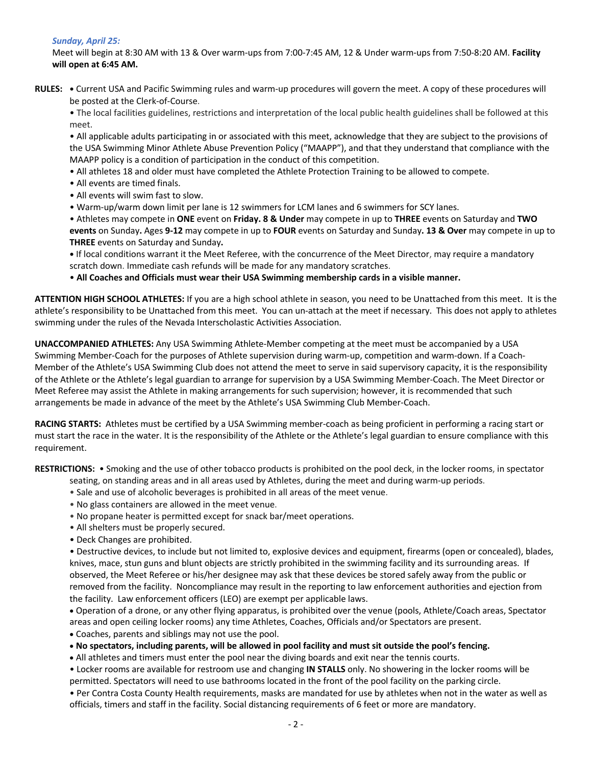# *Sunday, April 25:*

Meet will begin at 8:30 AM with 13 & Over warm-ups from 7:00-7:45 AM, 12 & Under warm-ups from 7:50-8:20 AM. **Facility will open at 6:45 AM.**

**RULES: •** Current USA and Pacific Swimming rules and warm-up procedures will govern the meet. A copy of these procedures will be posted at the Clerk-of-Course.

• The local facilities guidelines, restrictions and interpretation of the local public health guidelines shall be followed at this meet.

• All applicable adults participating in or associated with this meet, acknowledge that they are subject to the provisions of the USA Swimming Minor Athlete Abuse Prevention Policy ("MAAPP"), and that they understand that compliance with the MAAPP policy is a condition of participation in the conduct of this competition.

• All athletes 18 and older must have completed the Athlete Protection Training to be allowed to compete.

- All events are timed finals.
- All events will swim fast to slow.
- Warm-up/warm down limit per lane is 12 swimmers for LCM lanes and 6 swimmers for SCY lanes.

• Athletes may compete in **ONE** event on **Friday. 8 & Under** may compete in up to **THREE** events on Saturday and **TWO events** on Sunday**.** Ages **9-12** may compete in up to **FOUR** events on Saturday and Sunday**. 13 & Over** may compete in up to **THREE** events on Saturday and Sunday**.**

**•** If local conditions warrant it the Meet Referee, with the concurrence of the Meet Director, may require a mandatory scratch down. Immediate cash refunds will be made for any mandatory scratches.

• **All Coaches and Officials must wear their USA Swimming membership cards in a visible manner.** 

**ATTENTION HIGH SCHOOL ATHLETES:** If you are a high school athlete in season, you need to be Unattached from this meet. It is the athlete's responsibility to be Unattached from this meet. You can un-attach at the meet if necessary. This does not apply to athletes swimming under the rules of the Nevada Interscholastic Activities Association.

**UNACCOMPANIED ATHLETES:** Any USA Swimming Athlete-Member competing at the meet must be accompanied by a USA Swimming Member-Coach for the purposes of Athlete supervision during warm-up, competition and warm-down. If a Coach-Member of the Athlete's USA Swimming Club does not attend the meet to serve in said supervisory capacity, it is the responsibility of the Athlete or the Athlete's legal guardian to arrange for supervision by a USA Swimming Member-Coach. The Meet Director or Meet Referee may assist the Athlete in making arrangements for such supervision; however, it is recommended that such arrangements be made in advance of the meet by the Athlete's USA Swimming Club Member-Coach.

**RACING STARTS:** Athletes must be certified by a USA Swimming member-coach as being proficient in performing a racing start or must start the race in the water. It is the responsibility of the Athlete or the Athlete's legal guardian to ensure compliance with this requirement.

**RESTRICTIONS:** • Smoking and the use of other tobacco products is prohibited on the pool deck, in the locker rooms, in spectator seating, on standing areas and in all areas used by Athletes, during the meet and during warm-up periods.

- Sale and use of alcoholic beverages is prohibited in all areas of the meet venue.
- No glass containers are allowed in the meet venue.
- No propane heater is permitted except for snack bar/meet operations.
- All shelters must be properly secured.
- Deck Changes are prohibited.

• Destructive devices, to include but not limited to, explosive devices and equipment, firearms (open or concealed), blades, knives, mace, stun guns and blunt objects are strictly prohibited in the swimming facility and its surrounding areas. If observed, the Meet Referee or his/her designee may ask that these devices be stored safely away from the public or removed from the facility. Noncompliance may result in the reporting to law enforcement authorities and ejection from the facility. Law enforcement officers (LEO) are exempt per applicable laws.

• Operation of a drone, or any other flying apparatus, is prohibited over the venue (pools, Athlete/Coach areas, Spectator areas and open ceiling locker rooms) any time Athletes, Coaches, Officials and/or Spectators are present.

• Coaches, parents and siblings may not use the pool.

• **No spectators, including parents, will be allowed in pool facility and must sit outside the pool's fencing.** 

• All athletes and timers must enter the pool near the diving boards and exit near the tennis courts.

• Locker rooms are available for restroom use and changing **IN STALLS** only. No showering in the locker rooms will be permitted. Spectators will need to use bathrooms located in the front of the pool facility on the parking circle.

• Per Contra Costa County Health requirements, masks are mandated for use by athletes when not in the water as well as officials, timers and staff in the facility. Social distancing requirements of 6 feet or more are mandatory.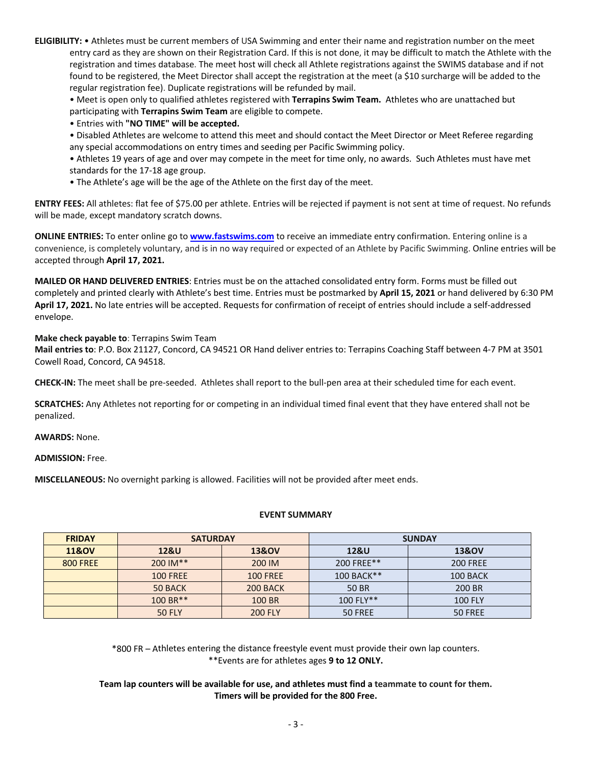**ELIGIBILITY:** • Athletes must be current members of USA Swimming and enter their name and registration number on the meet entry card as they are shown on their Registration Card. If this is not done, it may be difficult to match the Athlete with the registration and times database. The meet host will check all Athlete registrations against the SWIMS database and if not found to be registered, the Meet Director shall accept the registration at the meet (a \$10 surcharge will be added to the regular registration fee). Duplicate registrations will be refunded by mail.

• Meet is open only to qualified athletes registered with **Terrapins Swim Team.** Athletes who are unattached but participating with **Terrapins Swim Team** are eligible to compete.

• Entries with **"NO TIME" will be accepted.**

• Disabled Athletes are welcome to attend this meet and should contact the Meet Director or Meet Referee regarding any special accommodations on entry times and seeding per Pacific Swimming policy.

• Athletes 19 years of age and over may compete in the meet for time only, no awards. Such Athletes must have met standards for the 17-18 age group.

• The Athlete's age will be the age of the Athlete on the first day of the meet.

**ENTRY FEES:** All athletes: flat fee of \$75.00 per athlete. Entries will be rejected if payment is not sent at time of request. No refunds will be made, except mandatory scratch downs.

**ONLINE ENTRIES:** To enter online go to **www.fastswims.com** to receive an immediate entry confirmation. Entering online is a convenience, is completely voluntary, and is in no way required or expected of an Athlete by Pacific Swimming. Online entries will be accepted through **April 17, 2021.**

**MAILED OR HAND DELIVERED ENTRIES**: Entries must be on the attached consolidated entry form. Forms must be filled out completely and printed clearly with Athlete's best time. Entries must be postmarked by **April 15, 2021** or hand delivered by 6:30 PM **April 17, 2021.** No late entries will be accepted. Requests for confirmation of receipt of entries should include a self-addressed envelope.

**Make check payable to**: Terrapins Swim Team

**Mail entries to**: P.O. Box 21127, Concord, CA 94521 OR Hand deliver entries to: Terrapins Coaching Staff between 4-7 PM at 3501 Cowell Road, Concord, CA 94518.

**CHECK-IN:** The meet shall be pre-seeded. Athletes shall report to the bull-pen area at their scheduled time for each event.

**SCRATCHES:** Any Athletes not reporting for or competing in an individual timed final event that they have entered shall not be penalized.

**AWARDS:** None.

**ADMISSION:** Free.

**MISCELLANEOUS:** No overnight parking is allowed. Facilities will not be provided after meet ends.

#### **EVENT SUMMARY**

| <b>FRIDAY</b>    | <b>SATURDAY</b>                 |                  | <b>SUNDAY</b>   |                  |  |  |  |
|------------------|---------------------------------|------------------|-----------------|------------------|--|--|--|
| <b>11&amp;OV</b> | <b>12&amp;U</b>                 | <b>13&amp;OV</b> | <b>12&amp;U</b> | <b>13&amp;OV</b> |  |  |  |
| <b>800 FREE</b>  | 200 IM**                        | 200 IM           | 200 FREE**      | <b>200 FREE</b>  |  |  |  |
|                  | <b>100 FREE</b>                 | <b>100 FREE</b>  | 100 BACK**      | 100 BACK         |  |  |  |
|                  | 50 BACK                         | 200 BACK         | 50 BR           | 200 BR           |  |  |  |
|                  | $100 B R***$                    | 100 BR           | $100$ FLY**     | <b>100 FLY</b>   |  |  |  |
|                  | <b>200 FLY</b><br><b>50 FLY</b> |                  | 50 FREE         | 50 FREE          |  |  |  |

\*800 FR – Athletes entering the distance freestyle event must provide their own lap counters. \*\*Events are for athletes ages **9 to 12 ONLY.**

**Team lap counters will be available for use, and athletes must find a teammate to count for them. Timers will be provided for the 800 Free.**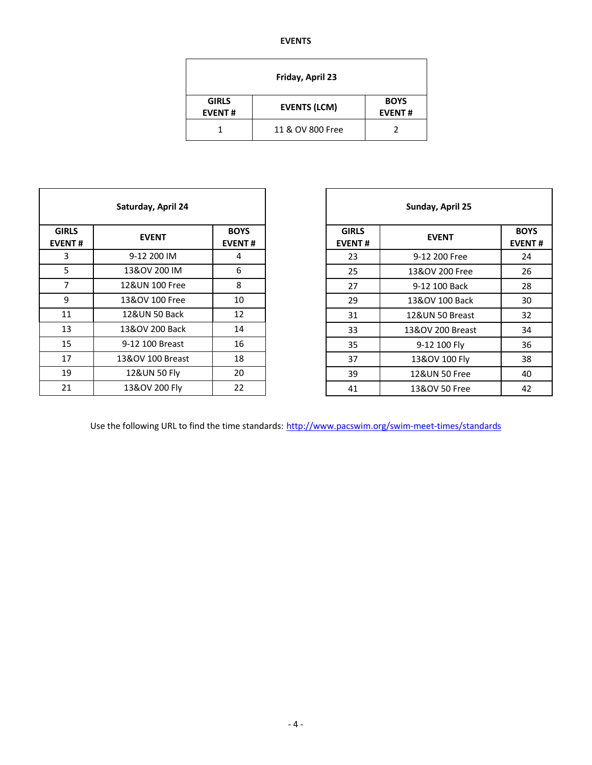#### **EVENTS**

| Friday, April 23              |                              |  |  |  |  |  |  |  |  |
|-------------------------------|------------------------------|--|--|--|--|--|--|--|--|
| <b>GIRLS</b><br><b>EVENT#</b> | <b>BOYS</b><br><b>EVENT#</b> |  |  |  |  |  |  |  |  |
|                               | 11 & OV 800 Free             |  |  |  |  |  |  |  |  |

| Saturday, April 24                                                            |                               |
|-------------------------------------------------------------------------------|-------------------------------|
|                                                                               |                               |
| <b>GIRLS</b><br><b>BOYS</b><br><b>EVENT</b><br><b>EVENT#</b><br><b>EVENT#</b> | <b>GIRLS</b><br><b>EVENT#</b> |
| 3<br>9-12 200 IM<br>4                                                         | 23                            |
| 5<br>13&OV 200 IM<br>6                                                        | 25                            |
| $\overline{7}$<br>8<br>12&UN 100 Free                                         | 27                            |
| 9<br>13&OV 100 Free<br>10                                                     | 29                            |
| 12&UN 50 Back<br>12<br>11                                                     | 31                            |
| 13<br>13&OV 200 Back<br>14                                                    | 33                            |
| 15<br>9-12 100 Breast<br>16                                                   | 35                            |
| 17<br>13&OV 100 Breast<br>18                                                  | 37                            |
| 19<br>12&UN 50 Fly<br>20                                                      | 39                            |
| 22<br>21<br>13&OV 200 Fly                                                     | 41                            |

| Saturday, April 24 |                              |              | Sunday, April 25 |                              |  |  |  |
|--------------------|------------------------------|--------------|------------------|------------------------------|--|--|--|
| <b>EVENT</b>       | <b>BOYS</b><br><b>EVENT#</b> | <b>GIRLS</b> | <b>EVENT</b>     | <b>BOYS</b><br><b>EVENT#</b> |  |  |  |
| 9-12 200 IM        | 4                            | 23           | 9-12 200 Free    | 24                           |  |  |  |
| 13&OV 200 IM       | 6                            | 25           | 13&OV 200 Free   | 26                           |  |  |  |
| 12&UN 100 Free     | 8                            | 27           | 9-12 100 Back    | 28                           |  |  |  |
| 13&OV 100 Free     | 10                           | 29           | 13&OV 100 Back   | 30                           |  |  |  |
| 12&UN 50 Back      | 12                           | 31           | 12&UN 50 Breast  | 32                           |  |  |  |
| 13&OV 200 Back     | 14                           | 33           | 13&OV 200 Breast | 34                           |  |  |  |
| 9-12 100 Breast    | 16                           | 35           | 9-12 100 Fly     | 36                           |  |  |  |
| 13&OV 100 Breast   | 18                           | 37           | 13&OV 100 Fly    | 38                           |  |  |  |
| 12&UN 50 Fly       | 20                           | 39           | 12&UN 50 Free    | 40                           |  |  |  |
| 13&OV 200 Fly      | 22                           | 41           | 13&OV 50 Free    | 42                           |  |  |  |
|                    |                              |              |                  | <b>EVENT#</b>                |  |  |  |

Use the following URL to find the time standards: http://www.pacswim.org/swim-meet-times/standards